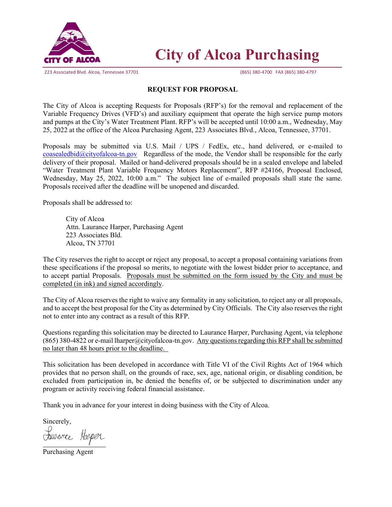

223 Associated Blvd. Alcoa, Tennessee 37701 (865) 380-4700 FAX (865) 380-4797

# **City of Alcoa Purchasing**

## **REQUEST FOR PROPOSAL**

The City of Alcoa is accepting Requests for Proposals (RFP's) for the removal and replacement of the Variable Frequency Drives (VFD's) and auxiliary equipment that operate the high service pump motors and pumps at the City's Water Treatment Plant. RFP's will be accepted until 10:00 a.m., Wednesday, May 25, 2022 at the office of the Alcoa Purchasing Agent, 223 Associates Blvd., Alcoa, Tennessee, 37701.

Proposals may be submitted via U.S. Mail / UPS / FedEx, etc., hand delivered, or e-mailed to  $\cos\theta$  [coasealedbid@cityofalcoa-tn.gov](mailto:coasealedbid@cityofalcoa-tn.gov) Regardless of the mode, the Vendor shall be responsible for the early delivery of their proposal. Mailed or hand-delivered proposals should be in a sealed envelope and labeled "Water Treatment Plant Variable Frequency Motors Replacement", RFP #24166, Proposal Enclosed, Wednesday, May 25, 2022, 10:00 a.m." The subject line of e-mailed proposals shall state the same. Proposals received after the deadline will be unopened and discarded.

Proposals shall be addressed to:

 City of Alcoa Attn. Laurance Harper, Purchasing Agent 223 Associates Bld. Alcoa, TN 37701

The City reserves the right to accept or reject any proposal, to accept a proposal containing variations from these specifications if the proposal so merits, to negotiate with the lowest bidder prior to acceptance, and to accept partial Proposals. Proposals must be submitted on the form issued by the City and must be completed (in ink) and signed accordingly.

The City of Alcoa reserves the right to waive any formality in any solicitation, to reject any or all proposals, and to accept the best proposal for the City as determined by City Officials. The City also reserves the right not to enter into any contract as a result of this RFP.

Questions regarding this solicitation may be directed to Laurance Harper, Purchasing Agent, via telephone (865) 380-4822 or e-mail lharper@cityofalcoa-tn.gov. Any questions regarding this RFP shall be submitted no later than 48 hours prior to the deadline.

This solicitation has been developed in accordance with Title VI of the Civil Rights Act of 1964 which provides that no person shall, on the grounds of race, sex, age, national origin, or disabling condition, be excluded from participation in, be denied the benefits of, or be subjected to discrimination under any program or activity receiving federal financial assistance.

Thank you in advance for your interest in doing business with the City of Alcoa.

Sincerely,

Jaurance Harper

Purchasing Agent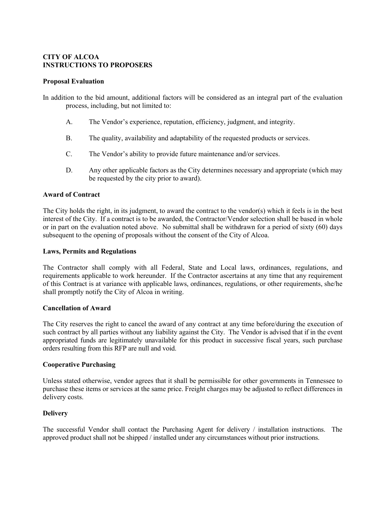## **CITY OF ALCOA INSTRUCTIONS TO PROPOSERS**

#### **Proposal Evaluation**

In addition to the bid amount, additional factors will be considered as an integral part of the evaluation process, including, but not limited to:

- A. The Vendor's experience, reputation, efficiency, judgment, and integrity.
- B. The quality, availability and adaptability of the requested products or services.
- C. The Vendor's ability to provide future maintenance and/or services.
- D. Any other applicable factors as the City determines necessary and appropriate (which may be requested by the city prior to award).

#### **Award of Contract**

The City holds the right, in its judgment, to award the contract to the vendor(s) which it feels is in the best interest of the City. If a contract is to be awarded, the Contractor/Vendor selection shall be based in whole or in part on the evaluation noted above. No submittal shall be withdrawn for a period of sixty (60) days subsequent to the opening of proposals without the consent of the City of Alcoa.

#### **Laws, Permits and Regulations**

The Contractor shall comply with all Federal, State and Local laws, ordinances, regulations, and requirements applicable to work hereunder. If the Contractor ascertains at any time that any requirement of this Contract is at variance with applicable laws, ordinances, regulations, or other requirements, she/he shall promptly notify the City of Alcoa in writing.

#### **Cancellation of Award**

The City reserves the right to cancel the award of any contract at any time before/during the execution of such contract by all parties without any liability against the City. The Vendor is advised that if in the event appropriated funds are legitimately unavailable for this product in successive fiscal years, such purchase orders resulting from this RFP are null and void.

#### **Cooperative Purchasing**

Unless stated otherwise, vendor agrees that it shall be permissible for other governments in Tennessee to purchase these items or services at the same price. Freight charges may be adjusted to reflect differences in delivery costs.

## **Delivery**

The successful Vendor shall contact the Purchasing Agent for delivery / installation instructions. The approved product shall not be shipped / installed under any circumstances without prior instructions.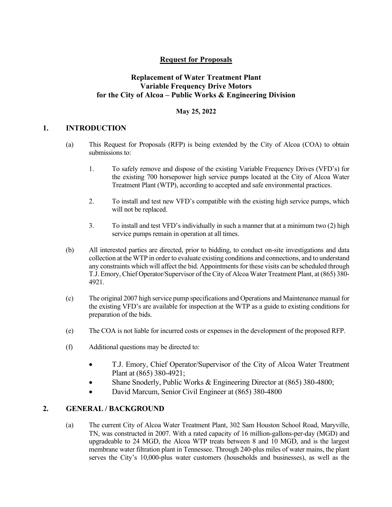# **Request for Proposals**

# **Replacement of Water Treatment Plant Variable Frequency Drive Motors for the City of Alcoa – Public Works & Engineering Division**

## **May 25, 2022**

# **1. INTRODUCTION**

- (a) This Request for Proposals (RFP) is being extended by the City of Alcoa (COA) to obtain submissions to:
	- 1. To safely remove and dispose of the existing Variable Frequency Drives (VFD's) for the existing 700 horsepower high service pumps located at the City of Alcoa Water Treatment Plant (WTP), according to accepted and safe environmental practices.
	- 2. To install and test new VFD's compatible with the existing high service pumps, which will not be replaced.
	- 3. To install and test VFD's individually in such a manner that at a minimum two (2) high service pumps remain in operation at all times.
- (b) All interested parties are directed, prior to bidding, to conduct on-site investigations and data collection at the WTP in order to evaluate existing conditions and connections, and to understand any constraints which will affect the bid. Appointments for these visits can be scheduled through T.J. Emory, Chief Operator/Supervisor of the City of Alcoa Water Treatment Plant, at (865) 380- 4921.
- (c) The original 2007 high service pump specifications and Operations and Maintenance manual for the existing VFD's are available for inspection at the WTP as a guide to existing conditions for preparation of the bids.
- (e) The COA is not liable for incurred costs or expenses in the development of the proposed RFP.
- (f) Additional questions may be directed to:
	- T.J. Emory, Chief Operator/Supervisor of the City of Alcoa Water Treatment Plant at (865) 380-4921;
	- Shane Snoderly, Public Works & Engineering Director at (865) 380-4800;
	- David Marcum, Senior Civil Engineer at (865) 380-4800

## **2. GENERAL / BACKGROUND**

(a) The current City of Alcoa Water Treatment Plant, 302 Sam Houston School Road, Maryville, TN, was constructed in 2007. With a rated capacity of 16 million-gallons-per-day (MGD) and upgradeable to 24 MGD, the Alcoa WTP treats between 8 and 10 MGD, and is the largest membrane water filtration plant in Tennessee. Through 240-plus miles of water mains, the plant serves the City's 10,000-plus water customers (households and businesses), as well as the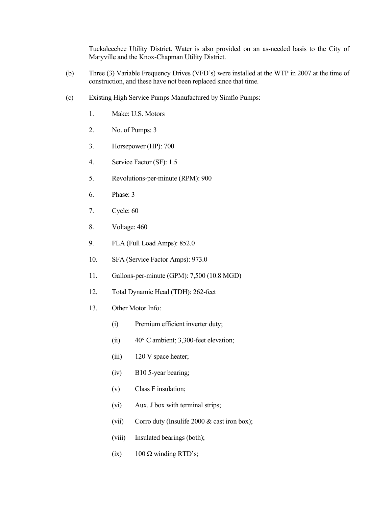Tuckaleechee Utility District. Water is also provided on an as-needed basis to the City of Maryville and the Knox-Chapman Utility District.

- (b) Three (3) Variable Frequency Drives (VFD's) were installed at the WTP in 2007 at the time of construction, and these have not been replaced since that time.
- (c) Existing High Service Pumps Manufactured by Simflo Pumps:
	- 1. Make: U.S. Motors
	- 2. No. of Pumps: 3
	- 3. Horsepower (HP): 700
	- 4. Service Factor (SF): 1.5
	- 5. Revolutions-per-minute (RPM): 900
	- 6. Phase: 3
	- 7. Cycle: 60
	- 8. Voltage: 460
	- 9. FLA (Full Load Amps): 852.0
	- 10. SFA (Service Factor Amps): 973.0
	- 11. Gallons-per-minute (GPM): 7,500 (10.8 MGD)
	- 12. Total Dynamic Head (TDH): 262-feet
	- 13. Other Motor Info:
		- (i) Premium efficient inverter duty;
		- (ii) 40° C ambient; 3,300-feet elevation;
		- (iii) 120 V space heater;
		- (iv) B10 5-year bearing;
		- (v) Class F insulation;
		- (vi) Aux. J box with terminal strips;
		- (vii) Corro duty (Insulife 2000 & cast iron box);
		- (viii) Insulated bearings (both);
		- (ix)  $100 \Omega$  winding RTD's;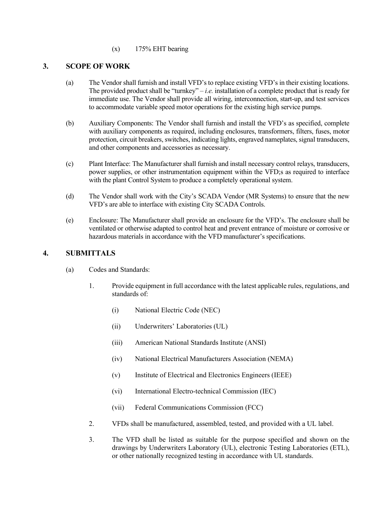## (x) 175% EHT bearing

# **3. SCOPE OF WORK**

- (a) The Vendor shall furnish and install VFD's to replace existing VFD's in their existing locations. The provided product shall be "turnkey" – *i.e.* installation of a complete product that is ready for immediate use. The Vendor shall provide all wiring, interconnection, start-up, and test services to accommodate variable speed motor operations for the existing high service pumps.
- (b) Auxiliary Components: The Vendor shall furnish and install the VFD's as specified, complete with auxiliary components as required, including enclosures, transformers, filters, fuses, motor protection, circuit breakers, switches, indicating lights, engraved nameplates, signal transducers, and other components and accessories as necessary.
- (c) Plant Interface: The Manufacturer shall furnish and install necessary control relays, transducers, power supplies, or other instrumentation equipment within the VFD;s as required to interface with the plant Control System to produce a completely operational system.
- (d) The Vendor shall work with the City's SCADA Vendor (MR Systems) to ensure that the new VFD's are able to interface with existing City SCADA Controls.
- (e) Enclosure: The Manufacturer shall provide an enclosure for the VFD's. The enclosure shall be ventilated or otherwise adapted to control heat and prevent entrance of moisture or corrosive or hazardous materials in accordance with the VFD manufacturer's specifications.

# **4. SUBMITTALS**

- (a) Codes and Standards:
	- 1. Provide equipment in full accordance with the latest applicable rules, regulations, and standards of:
		- (i) National Electric Code (NEC)
		- (ii) Underwriters' Laboratories (UL)
		- (iii) American National Standards Institute (ANSI)
		- (iv) National Electrical Manufacturers Association (NEMA)
		- (v) Institute of Electrical and Electronics Engineers (IEEE)
		- (vi) International Electro-technical Commission (IEC)
		- (vii) Federal Communications Commission (FCC)
	- 2. VFDs shall be manufactured, assembled, tested, and provided with a UL label.
	- 3. The VFD shall be listed as suitable for the purpose specified and shown on the drawings by Underwriters Laboratory (UL), electronic Testing Laboratories (ETL), or other nationally recognized testing in accordance with UL standards.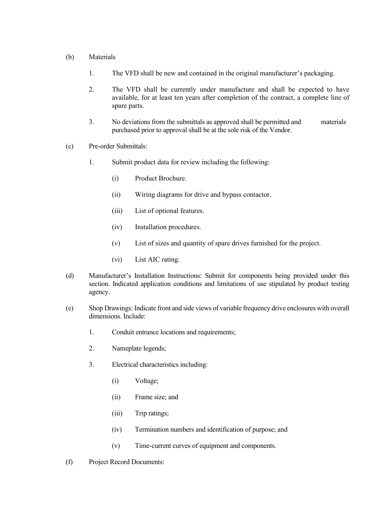#### (b) Materials

- 1. The VFD shall be new and contained in the original manufacturer's packaging.
- 2. The VFD shall be currently under manufacture and shall be expected to have available, for at least ten years after completion of the contract, a complete line of spare parts.
- 3. No deviations from the submittals as approved shall be permitted and materials purchased prior to approval shall be at the sole risk of the Vendor.
- (c) Pre-order Submittals:
	- 1. Submit product data for review including the following:
		- (i) Product Brochure.
		- (ii) Wiring diagrams for drive and bypass contactor.
		- (iii) List of optional features.
		- (iv) Installation procedures.
		- (v) List of sizes and quantity of spare drives furnished for the project.
		- (vi) List AIC rating.
- (d) Manufacturer's Installation Instructions: Submit for components being provided under this section. Indicated application conditions and limitations of use stipulated by product testing agency.
- (e) Shop Drawings: Indicate front and side views of variable frequency drive enclosures with overall dimensions. Include:
	- 1. Conduit entrance locations and requirements;
	- 2. Nameplate legends;
	- 3. Electrical characteristics including:
		- (i) Voltage;
		- (ii) Frame size; and
		- (iii) Trip ratings;
		- (iv) Termination numbers and identification of purpose; and
		- (v) Time-current curves of equipment and components.
- (f) Project Record Documents: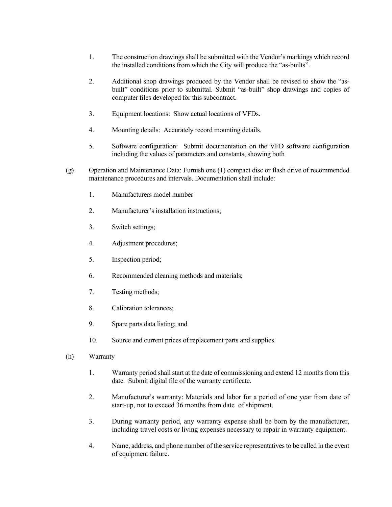- 1. The construction drawings shall be submitted with the Vendor's markings which record the installed conditions from which the City will produce the "as-builts".
- 2. Additional shop drawings produced by the Vendor shall be revised to show the "asbuilt" conditions prior to submittal. Submit "as-built" shop drawings and copies of computer files developed for this subcontract.
- 3. Equipment locations: Show actual locations of VFDs.
- 4. Mounting details: Accurately record mounting details.
- 5. Software configuration: Submit documentation on the VFD software configuration including the values of parameters and constants, showing both
- (g) Operation and Maintenance Data: Furnish one (1) compact disc or flash drive of recommended maintenance procedures and intervals. Documentation shall include:
	- 1. Manufacturers model number
	- 2. Manufacturer's installation instructions;
	- 3. Switch settings;
	- 4. Adjustment procedures;
	- 5. Inspection period;
	- 6. Recommended cleaning methods and materials;
	- 7. Testing methods;
	- 8. Calibration tolerances;
	- 9. Spare parts data listing; and
	- 10. Source and current prices of replacement parts and supplies.
- (h) Warranty
	- 1. Warranty period shall start at the date of commissioning and extend 12 months from this date. Submit digital file of the warranty certificate.
	- 2. Manufacturer's warranty: Materials and labor for a period of one year from date of start-up, not to exceed 36 months from date of shipment.
	- 3. During warranty period, any warranty expense shall be born by the manufacturer, including travel costs or living expenses necessary to repair in warranty equipment.
	- 4. Name, address, and phone number of the service representatives to be called in the event of equipment failure.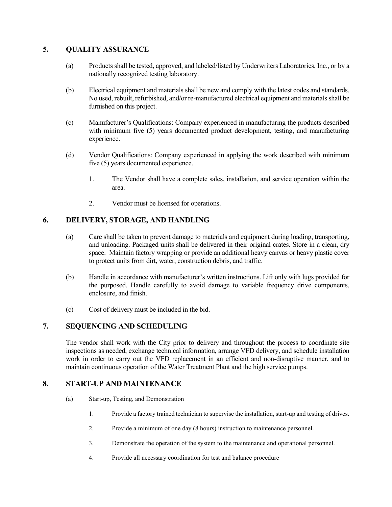# **5. QUALITY ASSURANCE**

- (a) Products shall be tested, approved, and labeled/listed by Underwriters Laboratories, Inc., or by a nationally recognized testing laboratory.
- (b) Electrical equipment and materials shall be new and comply with the latest codes and standards. No used, rebuilt, refurbished, and/or re-manufactured electrical equipment and materials shall be furnished on this project.
- (c) Manufacturer's Qualifications: Company experienced in manufacturing the products described with minimum five (5) years documented product development, testing, and manufacturing experience.
- (d) Vendor Qualifications: Company experienced in applying the work described with minimum five (5) years documented experience.
	- 1. The Vendor shall have a complete sales, installation, and service operation within the area.
	- 2. Vendor must be licensed for operations.

# **6. DELIVERY, STORAGE, AND HANDLING**

- (a) Care shall be taken to prevent damage to materials and equipment during loading, transporting, and unloading. Packaged units shall be delivered in their original crates. Store in a clean, dry space. Maintain factory wrapping or provide an additional heavy canvas or heavy plastic cover to protect units from dirt, water, construction debris, and traffic.
- (b) Handle in accordance with manufacturer's written instructions. Lift only with lugs provided for the purposed. Handle carefully to avoid damage to variable frequency drive components, enclosure, and finish.
- (c) Cost of delivery must be included in the bid.

# **7. SEQUENCING AND SCHEDULING**

The vendor shall work with the City prior to delivery and throughout the process to coordinate site inspections as needed, exchange technical information, arrange VFD delivery, and schedule installation work in order to carry out the VFD replacement in an efficient and non-disruptive manner, and to maintain continuous operation of the Water Treatment Plant and the high service pumps.

## **8. START-UP AND MAINTENANCE**

- (a) Start-up, Testing, and Demonstration
	- 1. Provide a factory trained technician to supervise the installation, start-up and testing of drives.
	- 2. Provide a minimum of one day (8 hours) instruction to maintenance personnel.
	- 3. Demonstrate the operation of the system to the maintenance and operational personnel.
	- 4. Provide all necessary coordination for test and balance procedure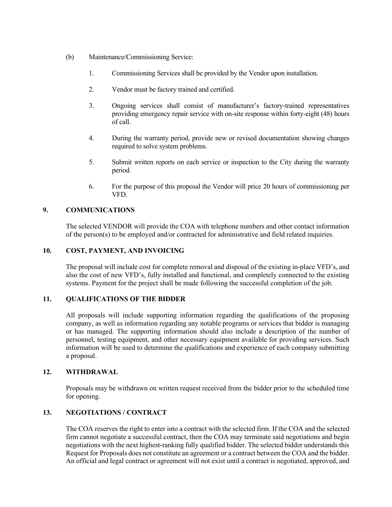- (b) Maintenance/Commissioning Service:
	- 1. Commissioning Services shall be provided by the Vendor upon installation.
	- 2. Vendor must be factory trained and certified.
	- 3. Ongoing services shall consist of manufacturer's factory-trained representatives providing emergency repair service with on-site response within forty-eight (48) hours of call.
	- 4. During the warranty period, provide new or revised documentation showing changes required to solve system problems.
	- 5. Submit written reports on each service or inspection to the City during the warranty period.
	- 6. For the purpose of this proposal the Vendor will price 20 hours of commissioning per VFD.

## **9. COMMUNICATIONS**

The selected VENDOR will provide the COA with telephone numbers and other contact information of the person(s) to be employed and/or contracted for administrative and field related inquiries.

#### **10. COST, PAYMENT, AND INVOICING**

The proposal will include cost for complete removal and disposal of the existing in-place VFD's, and also the cost of new VFD's, fully installed and functional, and completely connected to the existing systems. Payment for the project shall be made following the successful completion of the job.

## **11. QUALIFICATIONS OF THE BIDDER**

All proposals will include supporting information regarding the qualifications of the proposing company, as well as information regarding any notable programs or services that bidder is managing or has managed. The supporting information should also include a description of the number of personnel, testing equipment, and other necessary equipment available for providing services. Such information will be used to determine the qualifications and experience of each company submitting a proposal.

## **12. WITHDRAWAL**

Proposals may be withdrawn on written request received from the bidder prior to the scheduled time for opening.

# **13. NEGOTIATIONS / CONTRACT**

The COA reserves the right to enter into a contract with the selected firm. If the COA and the selected firm cannot negotiate a successful contract, then the COA may terminate said negotiations and begin negotiations with the next highest-ranking fully qualified bidder. The selected bidder understands this Request for Proposals does not constitute an agreement or a contract between the COA and the bidder. An official and legal contract or agreement will not exist until a contract is negotiated, approved, and